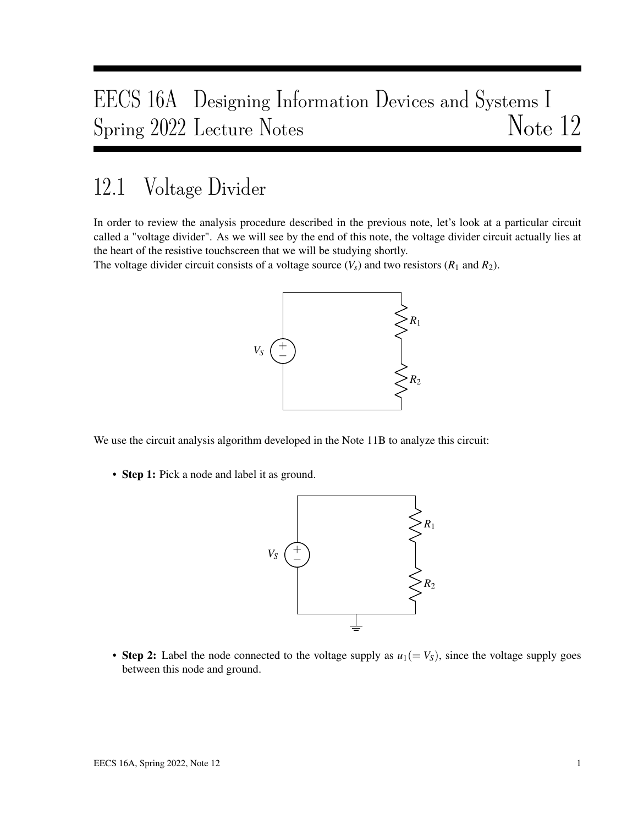# EECS 16A Designing Information Devices and Systems I Spring 2022 Lecture Notes Note 12

# 12.1 Voltage Divider

In order to review the analysis procedure described in the previous note, let's look at a particular circuit called a "voltage divider". As we will see by the end of this note, the voltage divider circuit actually lies at the heart of the resistive touchscreen that we will be studying shortly.

The voltage divider circuit consists of a voltage source  $(V_s)$  and two resistors  $(R_1 \text{ and } R_2)$ .



We use the circuit analysis algorithm developed in the Note 11B to analyze this circuit:

• Step 1: Pick a node and label it as ground.



• Step 2: Label the node connected to the voltage supply as  $u_1 (= V_S)$ , since the voltage supply goes between this node and ground.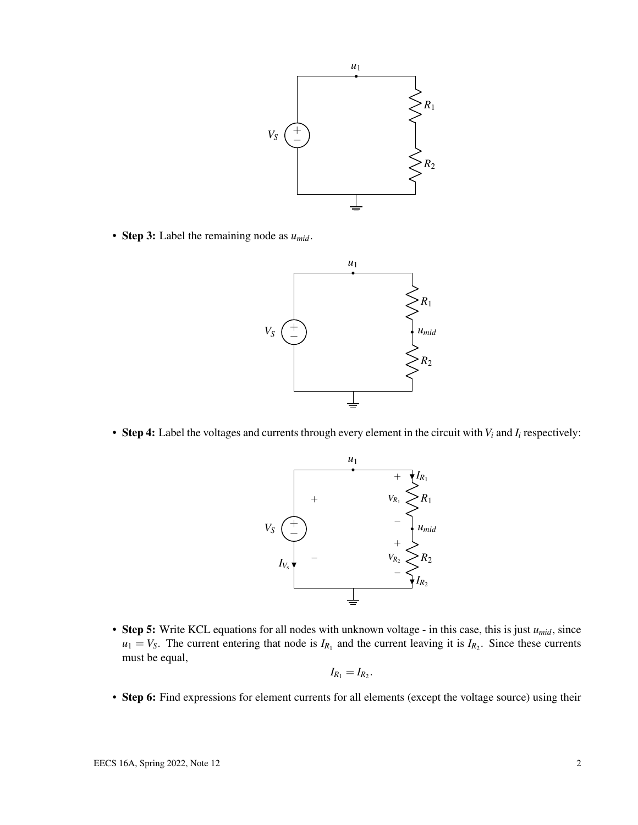

• Step 3: Label the remaining node as *umid*.



• Step 4: Label the voltages and currents through every element in the circuit with  $V_i$  and  $I_i$  respectively:



• Step 5: Write KCL equations for all nodes with unknown voltage - in this case, this is just *umid*, since  $u_1 = V_S$ . The current entering that node is  $I_{R_1}$  and the current leaving it is  $I_{R_2}$ . Since these currents must be equal,

$$
I_{R_1}=I_{R_2}.
$$

• Step 6: Find expressions for element currents for all elements (except the voltage source) using their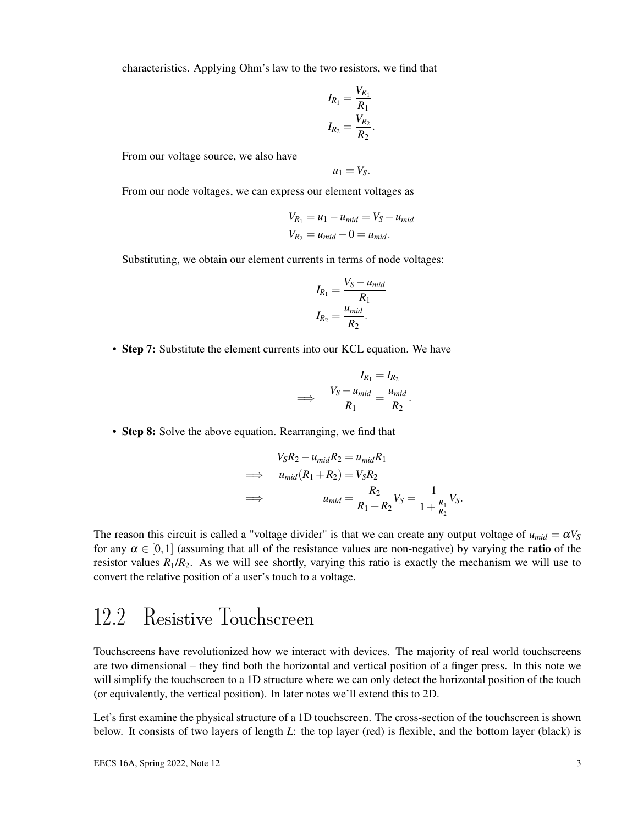characteristics. Applying Ohm's law to the two resistors, we find that

$$
I_{R_1} = \frac{V_{R_1}}{R_1}
$$

$$
I_{R_2} = \frac{V_{R_2}}{R_2}
$$

.

From our voltage source, we also have

$$
u_1=V_S.
$$

From our node voltages, we can express our element voltages as

$$
V_{R_1} = u_1 - u_{mid} = V_S - u_{mid}
$$
  

$$
V_{R_2} = u_{mid} - 0 = u_{mid}.
$$

Substituting, we obtain our element currents in terms of node voltages:

$$
I_{R_1} = \frac{V_S - u_{mid}}{R_1}
$$

$$
I_{R_2} = \frac{u_{mid}}{R_2}.
$$

• Step 7: Substitute the element currents into our KCL equation. We have

$$
I_{R_1} = I_{R_2}
$$
  
\n
$$
\implies \frac{V_S - u_{mid}}{R_1} = \frac{u_{mid}}{R_2}.
$$

• Step 8: Solve the above equation. Rearranging, we find that

$$
V_{S}R_{2} - u_{mid}R_{2} = u_{mid}R_{1}
$$
  
\n
$$
\implies u_{mid}(R_{1} + R_{2}) = V_{S}R_{2}
$$
  
\n
$$
\implies u_{mid} = \frac{R_{2}}{R_{1} + R_{2}}V_{S} = \frac{1}{1 + \frac{R_{1}}{R_{2}}}V_{S}.
$$

The reason this circuit is called a "voltage divider" is that we can create any output voltage of  $u_{mid} = \alpha V_s$ for any  $\alpha \in [0,1]$  (assuming that all of the resistance values are non-negative) by varying the **ratio** of the resistor values  $R_1/R_2$ . As we will see shortly, varying this ratio is exactly the mechanism we will use to convert the relative position of a user's touch to a voltage.

# 12.2 Resistive Touchscreen

Touchscreens have revolutionized how we interact with devices. The majority of real world touchscreens are two dimensional – they find both the horizontal and vertical position of a finger press. In this note we will simplify the touchscreen to a 1D structure where we can only detect the horizontal position of the touch (or equivalently, the vertical position). In later notes we'll extend this to 2D.

Let's first examine the physical structure of a 1D touchscreen. The cross-section of the touchscreen is shown below. It consists of two layers of length *L*: the top layer (red) is flexible, and the bottom layer (black) is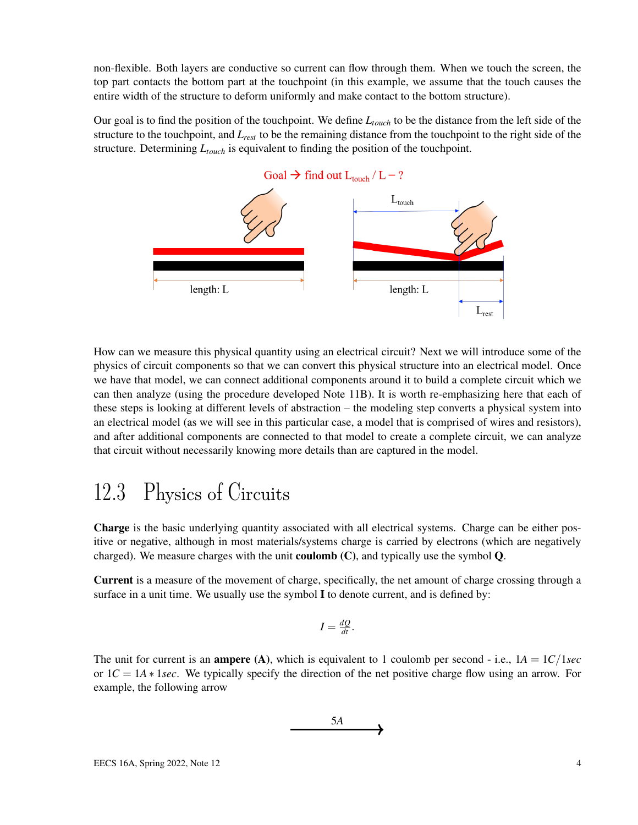non-flexible. Both layers are conductive so current can flow through them. When we touch the screen, the top part contacts the bottom part at the touchpoint (in this example, we assume that the touch causes the entire width of the structure to deform uniformly and make contact to the bottom structure).

Our goal is to find the position of the touchpoint. We define *Ltouch* to be the distance from the left side of the structure to the touchpoint, and *Lrest* to be the remaining distance from the touchpoint to the right side of the structure. Determining *Ltouch* is equivalent to finding the position of the touchpoint.



How can we measure this physical quantity using an electrical circuit? Next we will introduce some of the physics of circuit components so that we can convert this physical structure into an electrical model. Once we have that model, we can connect additional components around it to build a complete circuit which we can then analyze (using the procedure developed Note 11B). It is worth re-emphasizing here that each of these steps is looking at different levels of abstraction – the modeling step converts a physical system into an electrical model (as we will see in this particular case, a model that is comprised of wires and resistors), and after additional components are connected to that model to create a complete circuit, we can analyze that circuit without necessarily knowing more details than are captured in the model.

#### 12.3 Physics of Circuits

Charge is the basic underlying quantity associated with all electrical systems. Charge can be either positive or negative, although in most materials/systems charge is carried by electrons (which are negatively charged). We measure charges with the unit **coulomb**  $(C)$ , and typically use the symbol  $Q$ .

Current is a measure of the movement of charge, specifically, the net amount of charge crossing through a surface in a unit time. We usually use the symbol I to denote current, and is defined by:

$$
I=\frac{dQ}{dt}.
$$

The unit for current is an **ampere** (A), which is equivalent to 1 coulomb per second - i.e.,  $1A = 1C/1sec$ or 1*C* = 1*A* ∗ 1*sec*. We typically specify the direction of the net positive charge flow using an arrow. For example, the following arrow

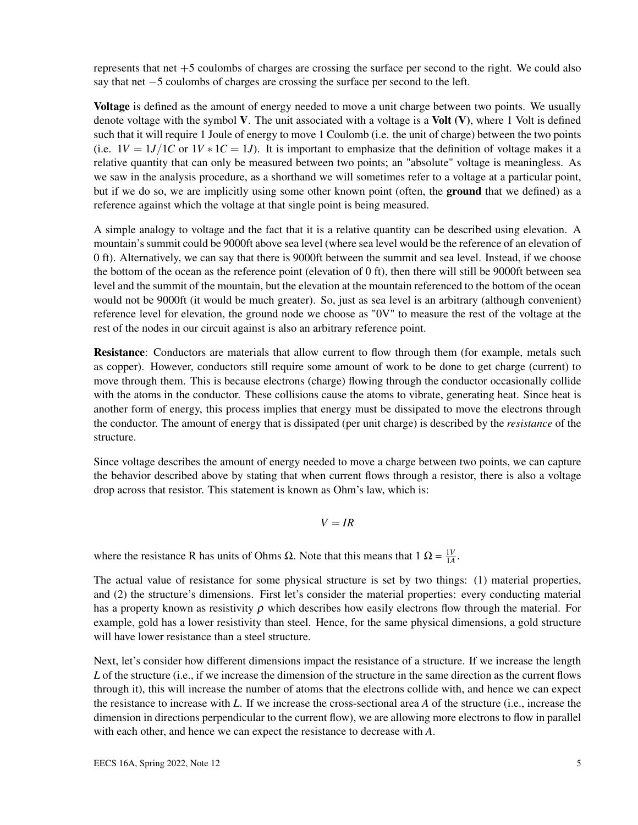represents that net +5 coulombs of charges are crossing the surface per second to the right. We could also say that net −5 coulombs of charges are crossing the surface per second to the left.

Voltage is defined as the amount of energy needed to move a unit charge between two points. We usually denote voltage with the symbol  $V$ . The unit associated with a voltage is a Volt  $(V)$ , where 1 Volt is defined such that it will require 1 Joule of energy to move 1 Coulomb (i.e. the unit of charge) between the two points (i.e.  $1V = 1J/I C$  or  $1V * I C = 1J$ ). It is important to emphasize that the definition of voltage makes it a relative quantity that can only be measured between two points; an "absolute" voltage is meaningless. As we saw in the analysis procedure, as a shorthand we will sometimes refer to a voltage at a particular point, but if we do so, we are implicitly using some other known point (often, the **ground** that we defined) as a reference against which the voltage at that single point is being measured.

A simple analogy to voltage and the fact that it is a relative quantity can be described using elevation. A mountain's summit could be 9000ft above sea level (where sea level would be the reference of an elevation of 0 ft). Alternatively, we can say that there is 9000ft between the summit and sea level. Instead, if we choose the bottom of the ocean as the reference point (elevation of 0 ft), then there will still be 9000ft between sea level and the summit of the mountain, but the elevation at the mountain referenced to the bottom of the ocean would not be 9000ft (it would be much greater). So, just as sea level is an arbitrary (although convenient) reference level for elevation, the ground node we choose as "0V" to measure the rest of the voltage at the rest of the nodes in our circuit against is also an arbitrary reference point.

**Resistance:** Conductors are materials that allow current to flow through them (for example, metals such as copper). However, conductors still require some amount of work to be done to get charge (current) to move through them. This is because electrons (charge) flowing through the conductor occasionally collide with the atoms in the conductor. These collisions cause the atoms to vibrate, generating heat. Since heat is another form of energy, this process implies that energy must be dissipated to move the electrons through the conductor. The amount of energy that is dissipated (per unit charge) is described by the *resistance* of the structure.

Since voltage describes the amount of energy needed to move a charge between two points, we can capture the behavior described above by stating that when current flows through a resistor, there is also a voltage drop across that resistor. This statement is known as Ohm's law, which is:

 $V = IR$ 

where the resistance R has units of Ohms  $\Omega$ . Note that this means that  $1 \Omega = \frac{1V}{1A}$  $\frac{1V}{1A}$ .

The actual value of resistance for some physical structure is set by two things: (1) material properties, and (2) the structure's dimensions. First let's consider the material properties: every conducting material has a property known as resistivity  $\rho$  which describes how easily electrons flow through the material. For example, gold has a lower resistivity than steel. Hence, for the same physical dimensions, a gold structure will have lower resistance than a steel structure.

Next, let's consider how different dimensions impact the resistance of a structure. If we increase the length *L* of the structure (i.e., if we increase the dimension of the structure in the same direction as the current flows through it), this will increase the number of atoms that the electrons collide with, and hence we can expect the resistance to increase with *L*. If we increase the cross-sectional area *A* of the structure (i.e., increase the dimension in directions perpendicular to the current flow), we are allowing more electrons to flow in parallel with each other, and hence we can expect the resistance to decrease with *A*.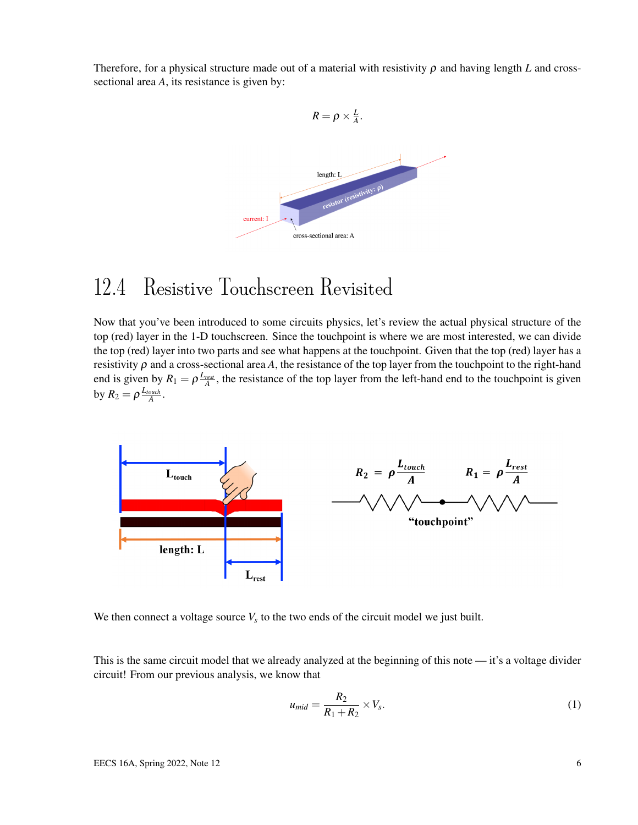Therefore, for a physical structure made out of a material with resistivity  $\rho$  and having length *L* and crosssectional area *A*, its resistance is given by:



# 12.4 Resistive Touchscreen Revisited

Now that you've been introduced to some circuits physics, let's review the actual physical structure of the top (red) layer in the 1-D touchscreen. Since the touchpoint is where we are most interested, we can divide the top (red) layer into two parts and see what happens at the touchpoint. Given that the top (red) layer has a resistivity  $\rho$  and a cross-sectional area  $A$ , the resistance of the top layer from the touchpoint to the right-hand end is given by  $R_1 = \rho \frac{L_{rest}}{A}$ , the resistance of the top layer from the left-hand end to the touchpoint is given by  $R_2 = \rho \frac{L_{touch}}{A}$ .



We then connect a voltage source  $V_s$  to the two ends of the circuit model we just built.

This is the same circuit model that we already analyzed at the beginning of this note — it's a voltage divider circuit! From our previous analysis, we know that

$$
u_{mid} = \frac{R_2}{R_1 + R_2} \times V_s. \tag{1}
$$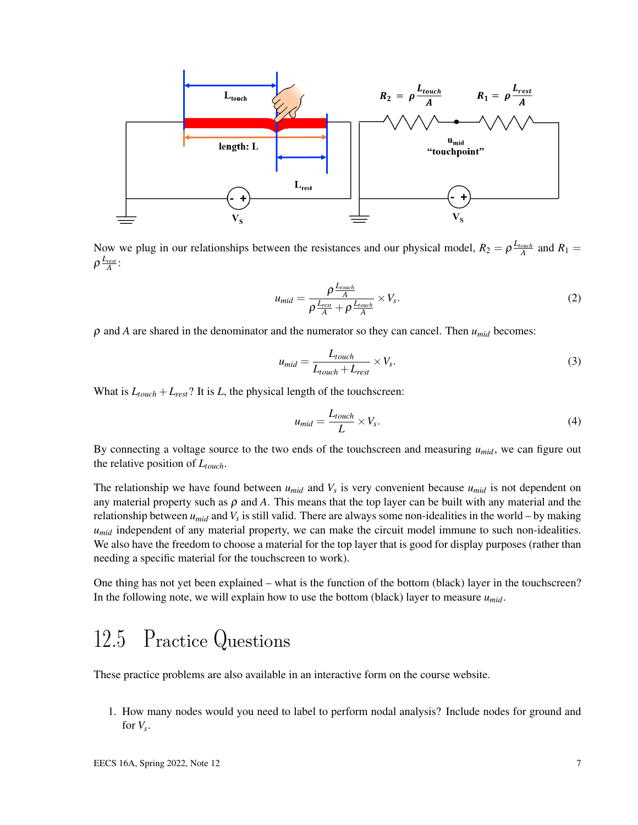

Now we plug in our relationships between the resistances and our physical model,  $R_2 = \rho \frac{L_{touch}}{A}$  and  $R_1 =$  $\rho \frac{L_{rest}}{A}$  :

$$
u_{mid} = \frac{\rho \frac{L_{touch}}{A}}{\rho \frac{L_{rest}}{A} + \rho \frac{L_{touch}}{A}} \times V_s.
$$
 (2)

 $\rho$  and *A* are shared in the denominator and the numerator so they can cancel. Then  $u_{mid}$  becomes:

$$
u_{mid} = \frac{L_{touch}}{L_{touch} + L_{rest}} \times V_s.
$$
\n(3)

What is  $L_{touch} + L_{rest}$ ? It is *L*, the physical length of the touchscreen:

$$
u_{mid} = \frac{L_{touch}}{L} \times V_s. \tag{4}
$$

By connecting a voltage source to the two ends of the touchscreen and measuring  $u_{mid}$ , we can figure out the relative position of *Ltouch*.

The relationship we have found between  $u_{mid}$  and  $V_s$  is very convenient because  $u_{mid}$  is not dependent on any material property such as  $\rho$  and A. This means that the top layer can be built with any material and the relationship between *umid* and *V<sup>s</sup>* is still valid. There are always some non-idealities in the world – by making *umid* independent of any material property, we can make the circuit model immune to such non-idealities. We also have the freedom to choose a material for the top layer that is good for display purposes (rather than needing a specific material for the touchscreen to work).

One thing has not yet been explained – what is the function of the bottom (black) layer in the touchscreen? In the following note, we will explain how to use the bottom (black) layer to measure  $u_{mid}$ .

# 12.5 Practice Questions

These practice problems are also available in an interactive form on the course website.

1. How many nodes would you need to label to perform nodal analysis? Include nodes for ground and for  $V_s$ .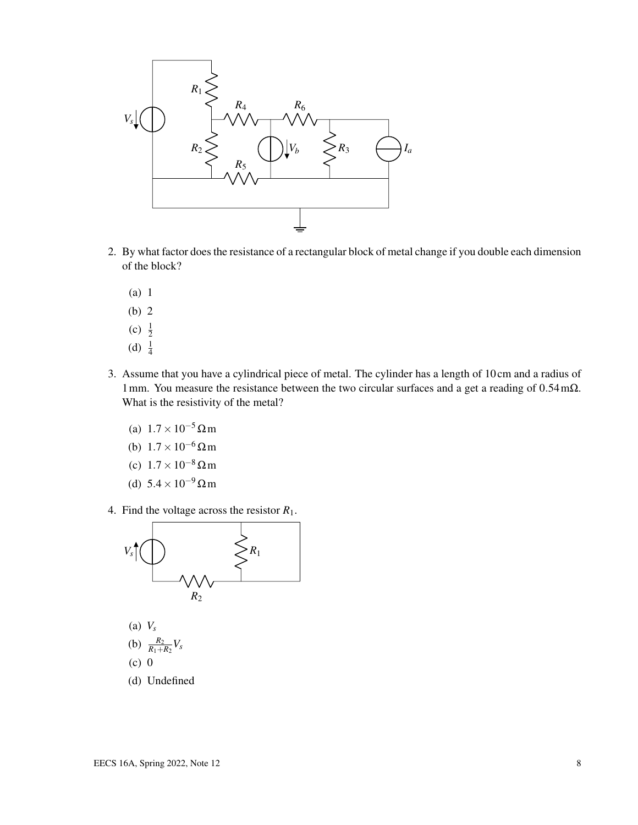

- 2. By what factor does the resistance of a rectangular block of metal change if you double each dimension of the block?
	- (a) 1
	- (b) 2
	- (c)  $\frac{1}{2}$
	- (d)  $\frac{1}{4}$
- 3. Assume that you have a cylindrical piece of metal. The cylinder has a length of 10 cm and a radius of 1mm. You measure the resistance between the two circular surfaces and a get a reading of 0.54mΩ. What is the resistivity of the metal?
	- (a)  $1.7 \times 10^{-5}$  Ωm
	- (b)  $1.7 \times 10^{-6} \Omega$  m
	- (c) 1.7×10−<sup>8</sup> Ωm
	- (d)  $5.4 \times 10^{-9} \Omega$ m
- 4. Find the voltage across the resistor *R*1.



(a) *V<sup>s</sup>*

(b) 
$$
\frac{R_2}{R_1+R_2}V_s
$$

- (c) 0
- (d) Undefined